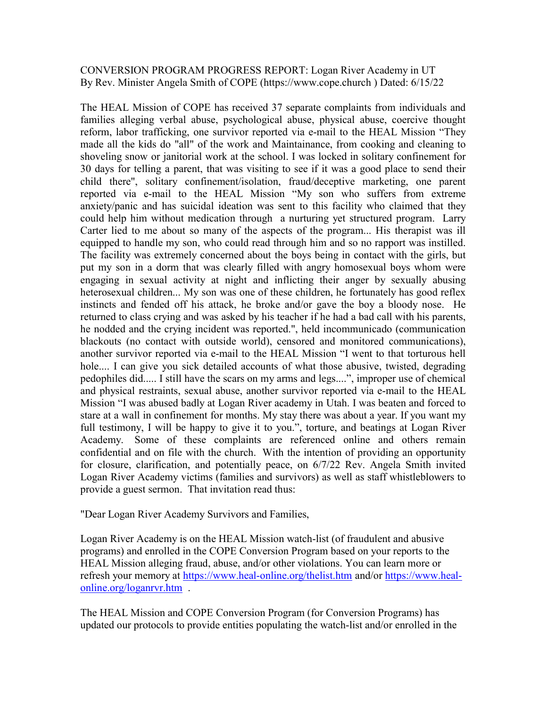## CONVERSION PROGRAM PROGRESS REPORT: Logan River Academy in UT By Rev. Minister Angela Smith of COPE (https://www.cope.church ) Dated: 6/15/22

The HEAL Mission of COPE has received 37 separate complaints from individuals and families alleging verbal abuse, psychological abuse, physical abuse, coercive thought reform, labor trafficking, one survivor reported via e-mail to the HEAL Mission "They made all the kids do "all" of the work and Maintainance, from cooking and cleaning to shoveling snow or janitorial work at the school. I was locked in solitary confinement for 30 days for telling a parent, that was visiting to see if it was a good place to send their child there", solitary confinement/isolation, fraud/deceptive marketing, one parent reported via e-mail to the HEAL Mission "My son who suffers from extreme anxiety/panic and has suicidal ideation was sent to this facility who claimed that they could help him without medication through a nurturing yet structured program. Larry Carter lied to me about so many of the aspects of the program... His therapist was ill equipped to handle my son, who could read through him and so no rapport was instilled. The facility was extremely concerned about the boys being in contact with the girls, but put my son in a dorm that was clearly filled with angry homosexual boys whom were engaging in sexual activity at night and inflicting their anger by sexually abusing heterosexual children... My son was one of these children, he fortunately has good reflex instincts and fended off his attack, he broke and/or gave the boy a bloody nose. He returned to class crying and was asked by his teacher if he had a bad call with his parents, he nodded and the crying incident was reported.", held incommunicado (communication blackouts (no contact with outside world), censored and monitored communications), another survivor reported via e-mail to the HEAL Mission "I went to that torturous hell hole.... I can give you sick detailed accounts of what those abusive, twisted, degrading pedophiles did..... I still have the scars on my arms and legs....", improper use of chemical and physical restraints, sexual abuse, another survivor reported via e-mail to the HEAL Mission "I was abused badly at Logan River academy in Utah. I was beaten and forced to stare at a wall in confinement for months. My stay there was about a year. If you want my full testimony, I will be happy to give it to you.", torture, and beatings at Logan River Academy. Some of these complaints are referenced online and others remain confidential and on file with the church. With the intention of providing an opportunity for closure, clarification, and potentially peace, on 6/7/22 Rev. Angela Smith invited Logan River Academy victims (families and survivors) as well as staff whistleblowers to provide a guest sermon. That invitation read thus:

"Dear Logan River Academy Survivors and Families,

Logan River Academy is on the HEAL Mission watch-list (of fraudulent and abusive programs) and enrolled in the COPE Conversion Program based on your reports to the HEAL Mission alleging fraud, abuse, and/or other violations. You can learn more or refresh your memory at https://www.heal-online.org/thelist.htm and/or https://www.healonline.org/loganrvr.htm .

The HEAL Mission and COPE Conversion Program (for Conversion Programs) has updated our protocols to provide entities populating the watch-list and/or enrolled in the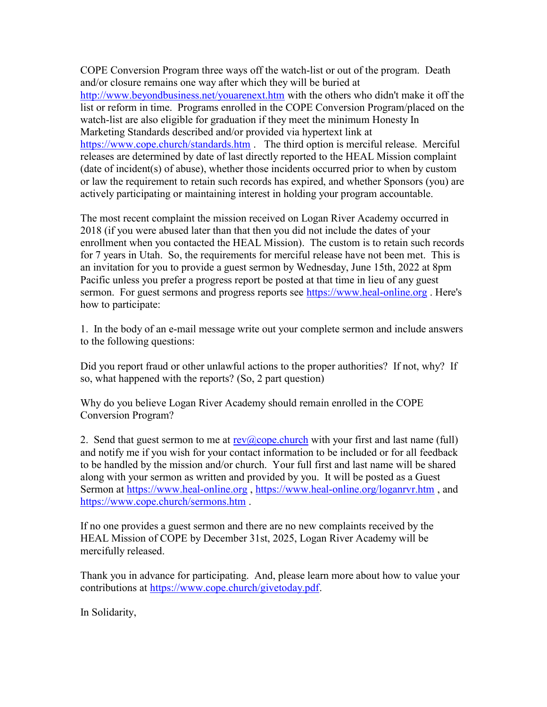COPE Conversion Program three ways off the watch-list or out of the program. Death and/or closure remains one way after which they will be buried at http://www.beyondbusiness.net/youarenext.htm with the others who didn't make it off the list or reform in time. Programs enrolled in the COPE Conversion Program/placed on the watch-list are also eligible for graduation if they meet the minimum Honesty In Marketing Standards described and/or provided via hypertext link at https://www.cope.church/standards.htm . The third option is merciful release. Merciful releases are determined by date of last directly reported to the HEAL Mission complaint (date of incident(s) of abuse), whether those incidents occurred prior to when by custom or law the requirement to retain such records has expired, and whether Sponsors (you) are actively participating or maintaining interest in holding your program accountable.

The most recent complaint the mission received on Logan River Academy occurred in 2018 (if you were abused later than that then you did not include the dates of your enrollment when you contacted the HEAL Mission). The custom is to retain such records for 7 years in Utah. So, the requirements for merciful release have not been met. This is an invitation for you to provide a guest sermon by Wednesday, June 15th, 2022 at 8pm Pacific unless you prefer a progress report be posted at that time in lieu of any guest sermon. For guest sermons and progress reports see https://www.heal-online.org. Here's how to participate:

1. In the body of an e-mail message write out your complete sermon and include answers to the following questions:

Did you report fraud or other unlawful actions to the proper authorities? If not, why? If so, what happened with the reports? (So, 2 part question)

Why do you believe Logan River Academy should remain enrolled in the COPE Conversion Program?

2. Send that guest sermon to me at  $rev(a)$ cope.church with your first and last name (full) and notify me if you wish for your contact information to be included or for all feedback to be handled by the mission and/or church. Your full first and last name will be shared along with your sermon as written and provided by you. It will be posted as a Guest Sermon at https://www.heal-online.org , https://www.heal-online.org/loganrvr.htm , and https://www.cope.church/sermons.htm .

If no one provides a guest sermon and there are no new complaints received by the HEAL Mission of COPE by December 31st, 2025, Logan River Academy will be mercifully released.

Thank you in advance for participating. And, please learn more about how to value your contributions at https://www.cope.church/givetoday.pdf.

In Solidarity,